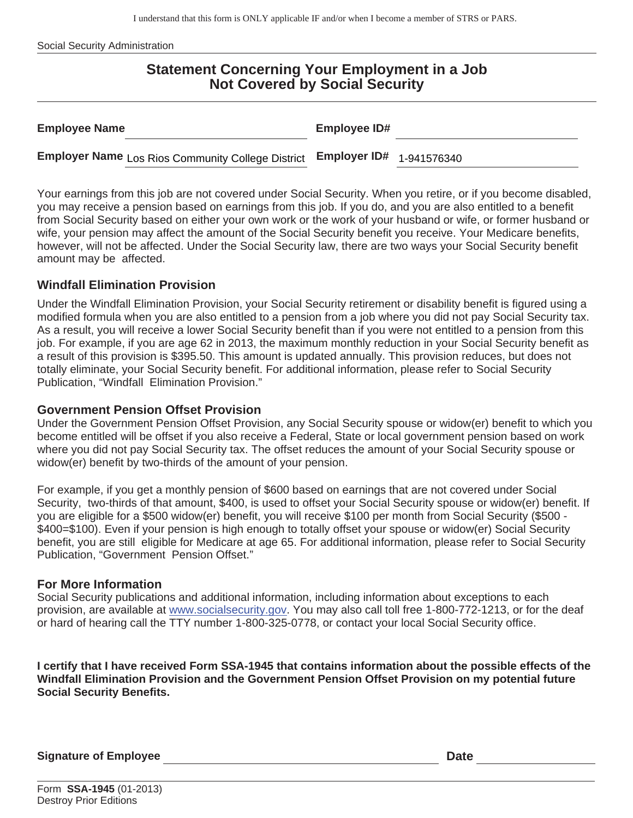I understand that this form is ONLY applicable IF and/or when I become a member of STRS or PARS.

Social Security Administration

# **Statement Concerning Your Employment in a Job Not Covered by Social Security**

| <b>Employee Name</b>                                                              | <b>Employee ID#</b> |  |
|-----------------------------------------------------------------------------------|---------------------|--|
| <b>Employer Name</b> Los Rios Community College District Employer ID# 1-941576340 |                     |  |

Your earnings from this job are not covered under Social Security. When you retire, or if you become disabled, you may receive a pension based on earnings from this job. If you do, and you are also entitled to a benefit from Social Security based on either your own work or the work of your husband or wife, or former husband or wife, your pension may affect the amount of the Social Security benefit you receive. Your Medicare benefits, however, will not be affected. Under the Social Security law, there are two ways your Social Security benefit amount may be affected.

### **Windfall Elimination Provision**

Under the Windfall Elimination Provision, your Social Security retirement or disability benefit is figured using a modified formula when you are also entitled to a pension from a job where you did not pay Social Security tax. As a result, you will receive a lower Social Security benefit than if you were not entitled to a pension from this job. For example, if you are age 62 in 2013, the maximum monthly reduction in your Social Security benefit as a result of this provision is \$395.50. This amount is updated annually. This provision reduces, but does not totally eliminate, your Social Security benefit. For additional information, please refer to Social Security Publication, "Windfall Elimination Provision."

#### **Government Pension Offset Provision**

Under the Government Pension Offset Provision, any Social Security spouse or widow(er) benefit to which you become entitled will be offset if you also receive a Federal, State or local government pension based on work where you did not pay Social Security tax. The offset reduces the amount of your Social Security spouse or widow(er) benefit by two-thirds of the amount of your pension.

For example, if you get a monthly pension of \$600 based on earnings that are not covered under Social Security, two-thirds of that amount, \$400, is used to offset your Social Security spouse or widow(er) benefit. If you are eligible for a \$500 widow(er) benefit, you will receive \$100 per month from Social Security (\$500 - \$400=\$100). Even if your pension is high enough to totally offset your spouse or widow(er) Social Security benefit, you are still eligible for Medicare at age 65. For additional information, please refer to Social Security Publication, "Government Pension Offset."

#### **For More Information**

Social Security publications and additional information, including information about exceptions to each provision, are available at www.socialsecurity.gov. You may also call toll free 1-800-772-1213, or for the deaf or hard of hearing call the TTY number 1-800-325-0778, or contact your local Social Security office.

**I certify that I have received Form SSA-1945 that contains information about the possible effects of the Windfall Elimination Provision and the Government Pension Offset Provision on my potential future Social Security Benefits.**

**Signature of Employee Contract Contract Contract Contract Contract Contract Contract Contract Contract Contract Contract Contract Contract Contract Contract Contract Contract Contract Contract Contract Contract Contract C**